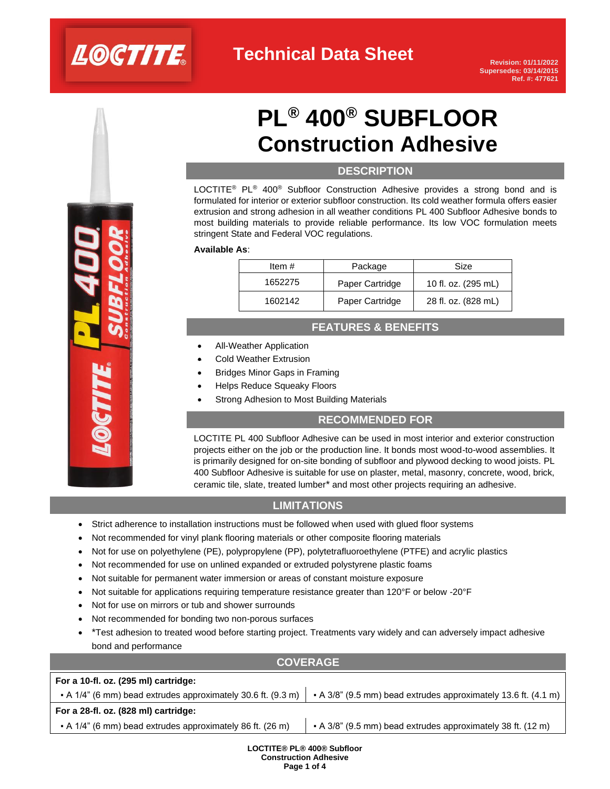

**Revision: 01/11/2022 Supersedes: 03/14/2015 Ref. #: 477621**

# **PL® 400® SUBFLOOR Construction Adhesive**

## **DESCRIPTION**

LOCTITE<sup>®</sup> PL<sup>®</sup> 400<sup>®</sup> Subfloor Construction Adhesive provides a strong bond and is formulated for interior or exterior subfloor construction. Its cold weather formula offers easier extrusion and strong adhesion in all weather conditions PL 400 Subfloor Adhesive bonds to most building materials to provide reliable performance. Its low VOC formulation meets stringent State and Federal VOC regulations.

#### **Available As**:

| Item $#$ | Package         | Size                |  |
|----------|-----------------|---------------------|--|
| 1652275  | Paper Cartridge | 10 fl. oz. (295 mL) |  |
| 1602142  | Paper Cartridge | 28 fl. oz. (828 mL) |  |

## **FEATURES & BENEFITS**

- All-Weather Application
- **Cold Weather Extrusion**
- Bridges Minor Gaps in Framing
- Helps Reduce Squeaky Floors
- Strong Adhesion to Most Building Materials

### **RECOMMENDED FOR**

LOCTITE PL 400 Subfloor Adhesive can be used in most interior and exterior construction projects either on the job or the production line. It bonds most wood-to-wood assemblies. It is primarily designed for on-site bonding of subfloor and plywood decking to wood joists. PL 400 Subfloor Adhesive is suitable for use on plaster, metal, masonry, concrete, wood, brick, ceramic tile, slate, treated lumber\* and most other projects requiring an adhesive.

## **LIMITATIONS**

- Strict adherence to installation instructions must be followed when used with glued floor systems
- Not recommended for vinyl plank flooring materials or other composite flooring materials
- Not for use on polyethylene (PE), polypropylene (PP), polytetrafluoroethylene (PTFE) and acrylic plastics
- Not recommended for use on unlined expanded or extruded polystyrene plastic foams
- Not suitable for permanent water immersion or areas of constant moisture exposure
- Not suitable for applications requiring temperature resistance greater than 120°F or below -20°F
- Not for use on mirrors or tub and shower surrounds
- Not recommended for bonding two non-porous surfaces
- \*Test adhesion to treated wood before starting project. Treatments vary widely and can adversely impact adhesive bond and performance

#### **COVERAGE**

## **For a 10-fl. oz. (295 ml) cartridge:**  $\bullet$  A 1/4" (6 mm) bead extrudes approximately 30.6 ft. (9.3 m)  $\, \cdot$  A 3/8" (9.5 mm) bead extrudes approximately 13.6 ft. (4.1 m) **For a 28-fl. oz. (828 ml) cartridge:** • A 1/4" (6 mm) bead extrudes approximately 86 ft.  $(26 \text{ m})$  • A 3/8" (9.5 mm) bead extrudes approximately 38 ft.  $(12 \text{ m})$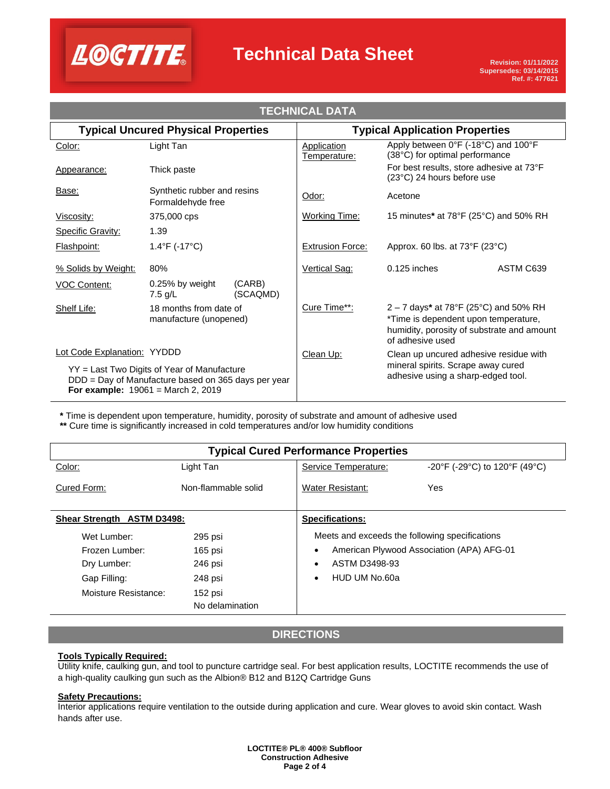

| <b>Typical Uncured Physical Properties</b>                                                                 |                                                  | <b>Typical Application Properties</b> |                                    |                                                                                                                                                   |           |  |  |
|------------------------------------------------------------------------------------------------------------|--------------------------------------------------|---------------------------------------|------------------------------------|---------------------------------------------------------------------------------------------------------------------------------------------------|-----------|--|--|
| Color:                                                                                                     | Light Tan                                        |                                       | <b>Application</b><br>Temperature: | Apply between $0^{\circ}F$ (-18 $^{\circ}C$ ) and 100 $^{\circ}F$<br>(38°C) for optimal performance                                               |           |  |  |
| Appearance:                                                                                                | Thick paste                                      |                                       |                                    | For best results, store adhesive at 73°F<br>(23°C) 24 hours before use                                                                            |           |  |  |
| Base:                                                                                                      | Synthetic rubber and resins<br>Formaldehyde free |                                       | Odor:                              | Acetone                                                                                                                                           |           |  |  |
| Viscosity:                                                                                                 | 375,000 cps                                      |                                       | <b>Working Time:</b>               | 15 minutes* at 78°F (25°C) and 50% RH                                                                                                             |           |  |  |
| <b>Specific Gravity:</b>                                                                                   | 1.39                                             |                                       |                                    |                                                                                                                                                   |           |  |  |
| Flashpoint:                                                                                                | $1.4^{\circ}$ F (-17 $^{\circ}$ C)               |                                       | <b>Extrusion Force:</b>            | Approx. 60 lbs. at $73^{\circ}F(23^{\circ}C)$                                                                                                     |           |  |  |
| % Solids by Weight:                                                                                        | 80%                                              |                                       | Vertical Sag:                      | $0.125$ inches                                                                                                                                    | ASTM C639 |  |  |
| <b>VOC Content:</b>                                                                                        | 0.25% by weight<br>7.5 g/L                       | (CARB)<br>(SCAQMD)                    |                                    |                                                                                                                                                   |           |  |  |
| Shelf Life:                                                                                                | 18 months from date of<br>manufacture (unopened) |                                       | Cure Time**:                       | $2 - 7$ days* at 78°F (25°C) and 50% RH<br>*Time is dependent upon temperature,<br>humidity, porosity of substrate and amount<br>of adhesive used |           |  |  |
| <b>Lot Code Explanation: YYDDD</b><br>YY = Last Two Digits of Year of Manufacture                          |                                                  |                                       | Clean Up:                          | Clean up uncured adhesive residue with<br>mineral spirits. Scrape away cured<br>adhesive using a sharp-edged tool.                                |           |  |  |
| DDD = Day of Manufacture based on 365 days per year<br><b>For example:</b> $19061 = \text{March } 2, 2019$ |                                                  |                                       |                                    |                                                                                                                                                   |           |  |  |

### **TECHNICAL DATA**

**\*** Time is dependent upon temperature, humidity, porosity of substrate and amount of adhesive used **\*\*** Cure time is significantly increased in cold temperatures and/or low humidity conditions

| <b>Typical Cured Performance Properties</b> |                            |                                                |                                           |  |  |  |
|---------------------------------------------|----------------------------|------------------------------------------------|-------------------------------------------|--|--|--|
| Color:                                      | Light Tan                  | Service Temperature:                           | -20°F (-29°C) to 120°F (49°C)             |  |  |  |
| Cured Form:                                 | Non-flammable solid        | Water Resistant:                               | Yes                                       |  |  |  |
| Shear Strength ASTM D3498:                  |                            | <b>Specifications:</b>                         |                                           |  |  |  |
| Wet Lumber:                                 | 295 psi                    | Meets and exceeds the following specifications |                                           |  |  |  |
| Frozen Lumber:                              | $165$ psi                  | ٠                                              | American Plywood Association (APA) AFG-01 |  |  |  |
| Dry Lumber:                                 | 246 psi                    | ASTM D3498-93                                  |                                           |  |  |  |
| Gap Filling:                                | 248 psi                    | HUD UM No.60a<br>٠                             |                                           |  |  |  |
| Moisture Resistance:                        | 152 psi<br>No delamination |                                                |                                           |  |  |  |

## **DIRECTIONS**

#### **Tools Typically Required:**

Utility knife, caulking gun, and tool to puncture cartridge seal. For best application results, LOCTITE recommends the use of a high-quality caulking gun such as the Albion® B12 and B12Q Cartridge Guns

#### **Safety Precautions:**

Interior applications require ventilation to the outside during application and cure. Wear gloves to avoid skin contact. Wash hands after use.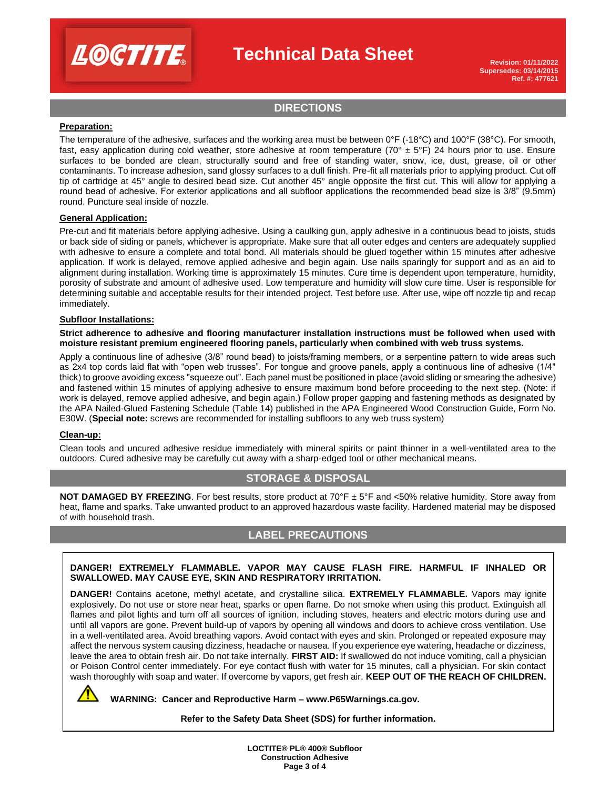

**Revision: 01/11/2022 Supersedes: 03/14/2015 Ref. #: 477621**

#### **DIRECTIONS**

#### **Preparation:**

The temperature of the adhesive, surfaces and the working area must be between 0°F (-18°C) and 100°F (38°C). For smooth, fast, easy application during cold weather, store adhesive at room temperature (70°  $\pm$  5°F) 24 hours prior to use. Ensure surfaces to be bonded are clean, structurally sound and free of standing water, snow, ice, dust, grease, oil or other contaminants. To increase adhesion, sand glossy surfaces to a dull finish. Pre-fit all materials prior to applying product. Cut off tip of cartridge at 45° angle to desired bead size. Cut another 45° angle opposite the first cut. This will allow for applying a round bead of adhesive. For exterior applications and all subfloor applications the recommended bead size is 3/8" (9.5mm) round. Puncture seal inside of nozzle.

#### **General Application:**

Pre-cut and fit materials before applying adhesive. Using a caulking gun, apply adhesive in a continuous bead to joists, studs or back side of siding or panels, whichever is appropriate. Make sure that all outer edges and centers are adequately supplied with adhesive to ensure a complete and total bond. All materials should be glued together within 15 minutes after adhesive application. If work is delayed, remove applied adhesive and begin again. Use nails sparingly for support and as an aid to alignment during installation. Working time is approximately 15 minutes. Cure time is dependent upon temperature, humidity, porosity of substrate and amount of adhesive used. Low temperature and humidity will slow cure time. User is responsible for determining suitable and acceptable results for their intended project. Test before use. After use, wipe off nozzle tip and recap immediately.

#### **Subfloor Installations:**

#### **Strict adherence to adhesive and flooring manufacturer installation instructions must be followed when used with moisture resistant premium engineered flooring panels, particularly when combined with web truss systems.**

Apply a continuous line of adhesive (3/8" round bead) to joists/framing members, or a serpentine pattern to wide areas such as 2x4 top cords laid flat with "open web trusses". For tongue and groove panels, apply a continuous line of adhesive (1/4" thick) to groove avoiding excess "squeeze out". Each panel must be positioned in place (avoid sliding or smearing the adhesive) and fastened within 15 minutes of applying adhesive to ensure maximum bond before proceeding to the next step. (Note: if work is delayed, remove applied adhesive, and begin again.) Follow proper gapping and fastening methods as designated by the APA Nailed-Glued Fastening Schedule (Table 14) published in the APA Engineered Wood Construction Guide, Form No. E30W. (**Special note:** screws are recommended for installing subfloors to any web truss system)

#### **Clean-up:**

Clean tools and uncured adhesive residue immediately with mineral spirits or paint thinner in a well-ventilated area to the outdoors. Cured adhesive may be carefully cut away with a sharp-edged tool or other mechanical means.

#### **STORAGE & DISPOSAL**

**NOT DAMAGED BY FREEZING**. For best results, store product at 70°F ± 5°F and <50% relative humidity. Store away from heat, flame and sparks. Take unwanted product to an approved hazardous waste facility. Hardened material may be disposed of with household trash.

#### **LABEL PRECAUTIONS**

#### **DANGER! EXTREMELY FLAMMABLE. VAPOR MAY CAUSE FLASH FIRE. HARMFUL IF INHALED OR SWALLOWED. MAY CAUSE EYE, SKIN AND RESPIRATORY IRRITATION.**

**DANGER!** Contains acetone, methyl acetate, and crystalline silica. **EXTREMELY FLAMMABLE.** Vapors may ignite explosively. Do not use or store near heat, sparks or open flame. Do not smoke when using this product. Extinguish all flames and pilot lights and turn off all sources of ignition, including stoves, heaters and electric motors during use and until all vapors are gone. Prevent build-up of vapors by opening all windows and doors to achieve cross ventilation. Use in a well-ventilated area. Avoid breathing vapors. Avoid contact with eyes and skin. Prolonged or repeated exposure may affect the nervous system causing dizziness, headache or nausea. If you experience eye watering, headache or dizziness, leave the area to obtain fresh air. Do not take internally. **FIRST AID:** If swallowed do not induce vomiting, call a physician or Poison Control center immediately. For eye contact flush with water for 15 minutes, call a physician. For skin contact wash thoroughly with soap and water. If overcome by vapors, get fresh air. **KEEP OUT OF THE REACH OF CHILDREN.**



 **WARNING: Cancer and Reproductive Harm – www.P65Warnings.ca.gov.**

#### **Refer to the Safety Data Sheet (SDS) for further information.**